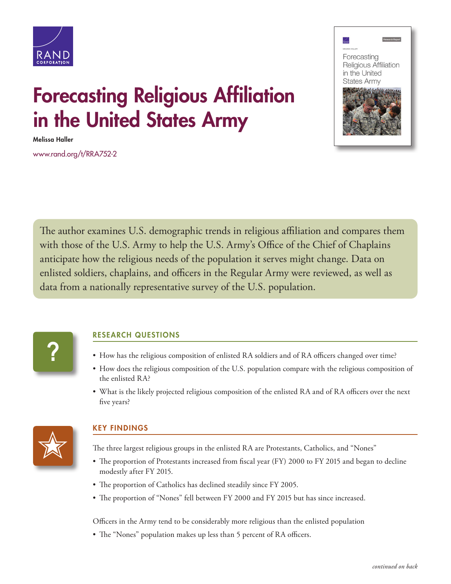



## Forecasting Religious Affiliation in the United States Army

Melissa Haller

[www.rand.org/t/RRA752-2](http://www.rand.org/t/RRA752-2)

The author examines U.S. demographic trends in religious affiliation and compares them with those of the U.S. Army to help the U.S. Army's Office of the Chief of Chaplains anticipate how the religious needs of the population it serves might change. Data on enlisted soldiers, chaplains, and officers in the Regular Army were reviewed, as well as data from a nationally representative survey of the U.S. population.



## RESEARCH QUESTIONS

- How has the religious composition of enlisted RA soldiers and of RA officers changed over time?
- How does the religious composition of the U.S. population compare with the religious composition of the enlisted RA?
- What is the likely projected religious composition of the enlisted RA and of RA officers over the next five years?



## KEY FINDINGS

The three largest religious groups in the enlisted RA are Protestants, Catholics, and "Nones"

- The proportion of Protestants increased from fiscal year (FY) 2000 to FY 2015 and began to decline modestly after FY 2015.
- The proportion of Catholics has declined steadily since FY 2005.
- The proportion of "Nones" fell between FY 2000 and FY 2015 but has since increased.

Officers in the Army tend to be considerably more religious than the enlisted population

• The "Nones" population makes up less than 5 percent of RA officers.